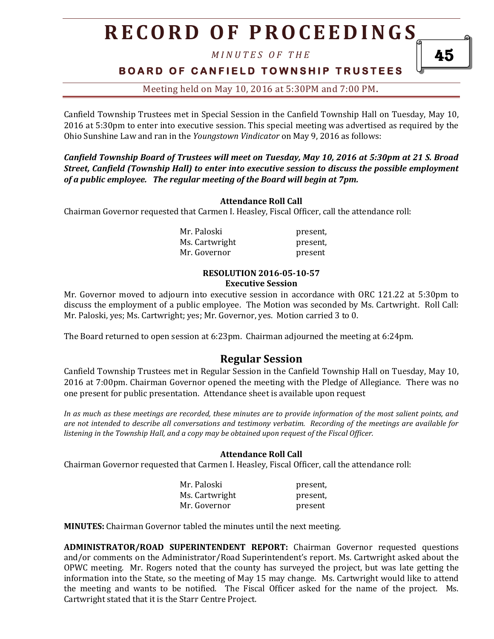*M I N U T E S O F T H E* 

**BOARD OF CANFIELD TOWNSHIP TRUSTEES** 

Meeting held on May 10, 2016 at 5:30PM and 7:00 PM**.**

Canfield Township Trustees met in Special Session in the Canfield Township Hall on Tuesday, May 10, 2016 at 5:30pm to enter into executive session. This special meeting was advertised as required by the Ohio Sunshine Law and ran in the *Youngstown Vindicator* on May 9, 2016 as follows:

*Canfield Township Board of Trustees will meet on Tuesday, May 10, 2016 at 5:30pm at 21 S. Broad Street, Canfield (Township Hall) to enter into executive session to discuss the possible employment of a public employee. The regular meeting of the Board will begin at 7pm.*

#### **Attendance Roll Call**

Chairman Governor requested that Carmen I. Heasley, Fiscal Officer, call the attendance roll:

Mr. Paloski **present**, Ms. Cartwright present, Mr. Governor **present** 

#### **RESOLUTION 2016-05-10-57 Executive Session**

Mr. Governor moved to adjourn into executive session in accordance with ORC 121.22 at 5:30pm to discuss the employment of a public employee. The Motion was seconded by Ms. Cartwright. Roll Call: Mr. Paloski, yes; Ms. Cartwright; yes; Mr. Governor, yes. Motion carried 3 to 0.

The Board returned to open session at 6:23pm. Chairman adjourned the meeting at 6:24pm.

## **Regular Session**

Canfield Township Trustees met in Regular Session in the Canfield Township Hall on Tuesday, May 10, 2016 at 7:00pm. Chairman Governor opened the meeting with the Pledge of Allegiance. There was no one present for public presentation. Attendance sheet is available upon request

*In as much as these meetings are recorded, these minutes are to provide information of the most salient points, and are not intended to describe all conversations and testimony verbatim. Recording of the meetings are available for listening in the Township Hall, and a copy may be obtained upon request of the Fiscal Officer.* 

### **Attendance Roll Call**

Chairman Governor requested that Carmen I. Heasley, Fiscal Officer, call the attendance roll:

| Mr. Paloski    | present, |
|----------------|----------|
| Ms. Cartwright | present, |
| Mr. Governor   | present  |

**MINUTES:** Chairman Governor tabled the minutes until the next meeting.

**ADMINISTRATOR/ROAD SUPERINTENDENT REPORT:** Chairman Governor requested questions and/or comments on the Administrator/Road Superintendent's report. Ms. Cartwright asked about the OPWC meeting. Mr. Rogers noted that the county has surveyed the project, but was late getting the information into the State, so the meeting of May 15 may change. Ms. Cartwright would like to attend the meeting and wants to be notified. The Fiscal Officer asked for the name of the project. Ms. Cartwright stated that it is the Starr Centre Project.

45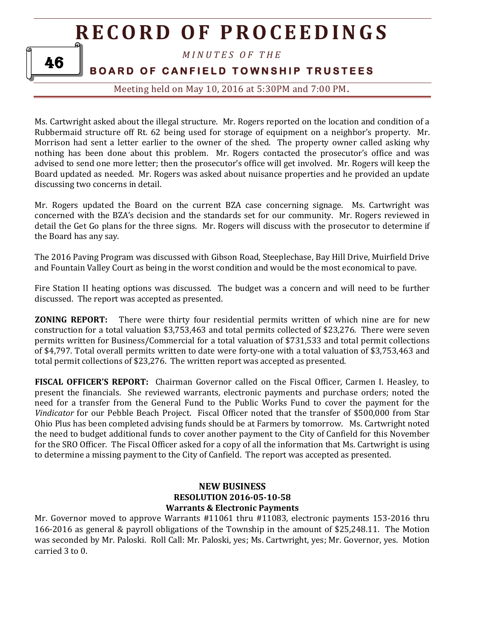*M I N U T E S O F T H E* 

## **BOARD OF CANFIELD TOWNSHIP TRUSTEES**

Meeting held on May 10, 2016 at 5:30PM and 7:00 PM**.**

Ms. Cartwright asked about the illegal structure. Mr. Rogers reported on the location and condition of a Rubbermaid structure off Rt. 62 being used for storage of equipment on a neighbor's property. Mr. Morrison had sent a letter earlier to the owner of the shed. The property owner called asking why nothing has been done about this problem. Mr. Rogers contacted the prosecutor's office and was advised to send one more letter; then the prosecutor's office will get involved. Mr. Rogers will keep the Board updated as needed. Mr. Rogers was asked about nuisance properties and he provided an update discussing two concerns in detail.

Mr. Rogers updated the Board on the current BZA case concerning signage. Ms. Cartwright was concerned with the BZA's decision and the standards set for our community. Mr. Rogers reviewed in detail the Get Go plans for the three signs. Mr. Rogers will discuss with the prosecutor to determine if the Board has any say.

The 2016 Paving Program was discussed with Gibson Road, Steeplechase, Bay Hill Drive, Muirfield Drive and Fountain Valley Court as being in the worst condition and would be the most economical to pave.

Fire Station II heating options was discussed. The budget was a concern and will need to be further discussed. The report was accepted as presented.

**ZONING REPORT:** There were thirty four residential permits written of which nine are for new construction for a total valuation \$3,753,463 and total permits collected of \$23,276. There were seven permits written for Business/Commercial for a total valuation of \$731,533 and total permit collections of \$4,797. Total overall permits written to date were forty-one with a total valuation of \$3,753,463 and total permit collections of \$23,276. The written report was accepted as presented.

**FISCAL OFFICER'S REPORT:** Chairman Governor called on the Fiscal Officer, Carmen I. Heasley, to present the financials. She reviewed warrants, electronic payments and purchase orders; noted the need for a transfer from the General Fund to the Public Works Fund to cover the payment for the *Vindicator* for our Pebble Beach Project. Fiscal Officer noted that the transfer of \$500,000 from Star Ohio Plus has been completed advising funds should be at Farmers by tomorrow. Ms. Cartwright noted the need to budget additional funds to cover another payment to the City of Canfield for this November for the SRO Officer. The Fiscal Officer asked for a copy of all the information that Ms. Cartwright is using to determine a missing payment to the City of Canfield. The report was accepted as presented.

### **NEW BUSINESS RESOLUTION 2016-05-10-58 Warrants & Electronic Payments**

Mr. Governor moved to approve Warrants #11061 thru #11083, electronic payments 153-2016 thru 166-2016 as general & payroll obligations of the Township in the amount of \$25,248.11. The Motion was seconded by Mr. Paloski. Roll Call: Mr. Paloski, yes; Ms. Cartwright, yes; Mr. Governor, yes. Motion carried 3 to 0.

46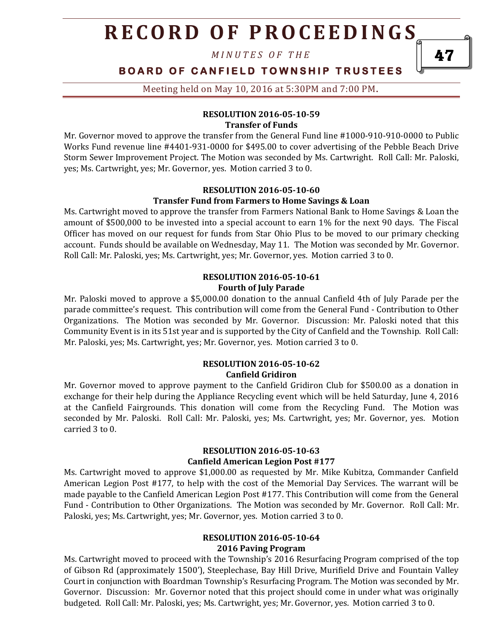*M I N U T E S O F T H E* 

**BOARD OF CANFIELD TOWNSHIP TRUSTEES** 

Meeting held on May 10, 2016 at 5:30PM and 7:00 PM**.**

#### **RESOLUTION 2016-05-10-59 Transfer of Funds**

Mr. Governor moved to approve the transfer from the General Fund line #1000-910-910-0000 to Public Works Fund revenue line #4401-931-0000 for \$495.00 to cover advertising of the Pebble Beach Drive Storm Sewer Improvement Project. The Motion was seconded by Ms. Cartwright. Roll Call: Mr. Paloski, yes; Ms. Cartwright, yes; Mr. Governor, yes. Motion carried 3 to 0.

#### **RESOLUTION 2016-05-10-60 Transfer Fund from Farmers to Home Savings & Loan**

Ms. Cartwright moved to approve the transfer from Farmers National Bank to Home Savings & Loan the amount of \$500,000 to be invested into a special account to earn 1% for the next 90 days. The Fiscal Officer has moved on our request for funds from Star Ohio Plus to be moved to our primary checking account. Funds should be available on Wednesday, May 11. The Motion was seconded by Mr. Governor. Roll Call: Mr. Paloski, yes; Ms. Cartwright, yes; Mr. Governor, yes. Motion carried 3 to 0.

#### **RESOLUTION 2016-05-10-61 Fourth of July Parade**

Mr. Paloski moved to approve a \$5,000.00 donation to the annual Canfield 4th of July Parade per the parade committee's request. This contribution will come from the General Fund - Contribution to Other Organizations. The Motion was seconded by Mr. Governor. Discussion: Mr. Paloski noted that this Community Event is in its 51st year and is supported by the City of Canfield and the Township. Roll Call: Mr. Paloski, yes; Ms. Cartwright, yes; Mr. Governor, yes. Motion carried 3 to 0.

#### **RESOLUTION 2016-05-10-62 Canfield Gridiron**

Mr. Governor moved to approve payment to the Canfield Gridiron Club for \$500.00 as a donation in exchange for their help during the Appliance Recycling event which will be held Saturday, June 4, 2016 at the Canfield Fairgrounds. This donation will come from the Recycling Fund. The Motion was seconded by Mr. Paloski. Roll Call: Mr. Paloski, yes; Ms. Cartwright, yes; Mr. Governor, yes. Motion carried 3 to 0.

#### **RESOLUTION 2016-05-10-63 Canfield American Legion Post #177**

Ms. Cartwright moved to approve \$1,000.00 as requested by Mr. Mike Kubitza, Commander Canfield American Legion Post #177, to help with the cost of the Memorial Day Services. The warrant will be made payable to the Canfield American Legion Post #177. This Contribution will come from the General Fund - Contribution to Other Organizations. The Motion was seconded by Mr. Governor. Roll Call: Mr. Paloski, yes; Ms. Cartwright, yes; Mr. Governor, yes. Motion carried 3 to 0.

#### **RESOLUTION 2016-05-10-64 2016 Paving Program**

Ms. Cartwright moved to proceed with the Township's 2016 Resurfacing Program comprised of the top of Gibson Rd (approximately 1500'), Steeplechase, Bay Hill Drive, Murifield Drive and Fountain Valley Court in conjunction with Boardman Township's Resurfacing Program. The Motion was seconded by Mr. Governor. Discussion: Mr. Governor noted that this project should come in under what was originally budgeted. Roll Call: Mr. Paloski, yes; Ms. Cartwright, yes; Mr. Governor, yes. Motion carried 3 to 0.

47